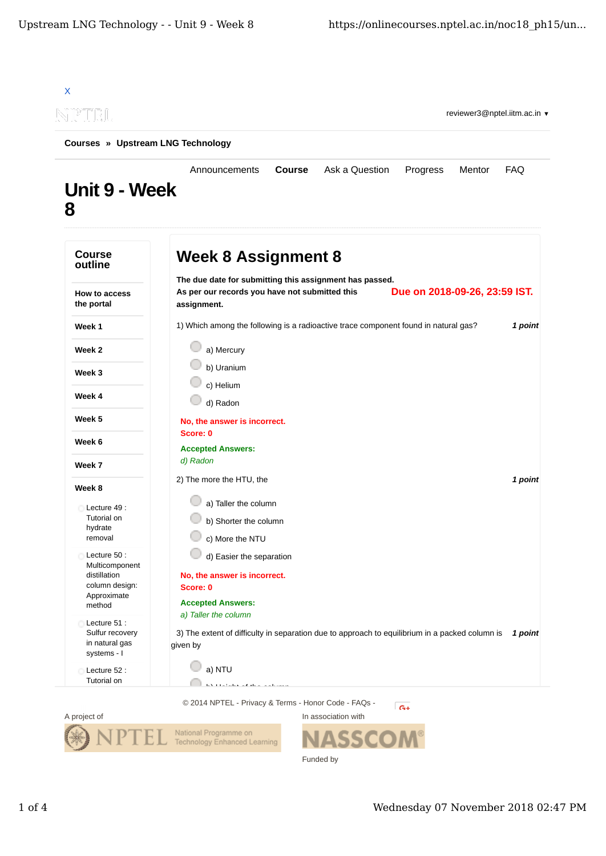



Funded by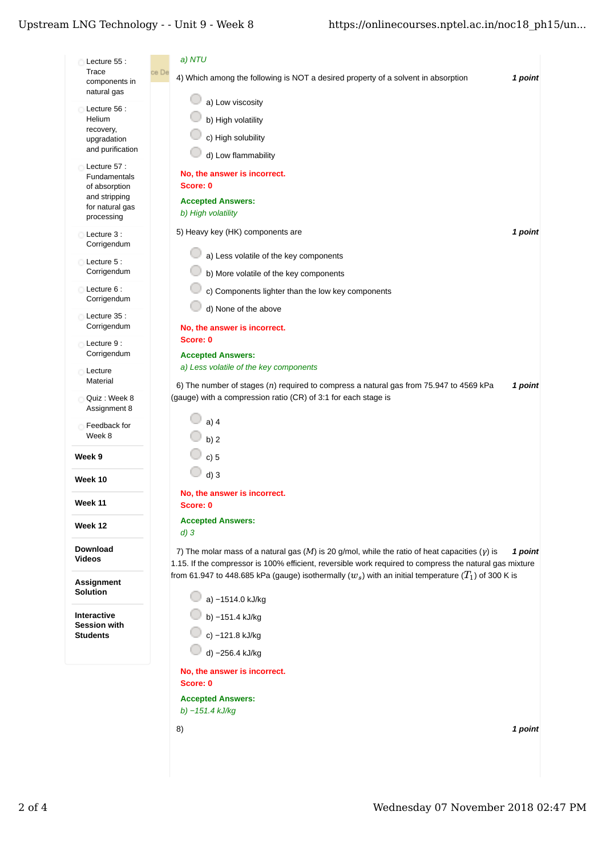## Upstream LNG Technology - - Unit  $9$  - Week  $8$

| Lecture 55 :                          | a) NTU                                                                                                                                                                                                             |
|---------------------------------------|--------------------------------------------------------------------------------------------------------------------------------------------------------------------------------------------------------------------|
| Trace<br>components in<br>natural gas | ce De<br>4) Which among the following is NOT a desired property of a solvent in absorption<br>1 point                                                                                                              |
|                                       | a) Low viscosity                                                                                                                                                                                                   |
| Lecture 56 :<br>Helium                | b) High volatility                                                                                                                                                                                                 |
| recovery,                             | c) High solubility                                                                                                                                                                                                 |
| upgradation<br>and purification       |                                                                                                                                                                                                                    |
| Lecture 57:                           | d) Low flammability                                                                                                                                                                                                |
| Fundamentals                          | No, the answer is incorrect.                                                                                                                                                                                       |
| of absorption<br>and stripping        | Score: 0                                                                                                                                                                                                           |
| for natural gas                       | <b>Accepted Answers:</b><br>b) High volatility                                                                                                                                                                     |
| processing                            |                                                                                                                                                                                                                    |
| Lecture 3 :<br>Corrigendum            | 5) Heavy key (HK) components are<br>1 point                                                                                                                                                                        |
|                                       | a) Less volatile of the key components                                                                                                                                                                             |
| Lecture 5 :<br>Corrigendum            | b) More volatile of the key components                                                                                                                                                                             |
| Lecture 6 :                           | c) Components lighter than the low key components                                                                                                                                                                  |
| Corrigendum                           | d) None of the above                                                                                                                                                                                               |
| Lecture 35 :                          |                                                                                                                                                                                                                    |
| Corrigendum                           | No, the answer is incorrect.                                                                                                                                                                                       |
| Lecture 9 :<br>Corrigendum            | Score: 0                                                                                                                                                                                                           |
|                                       | <b>Accepted Answers:</b><br>a) Less volatile of the key components                                                                                                                                                 |
| Lecture<br>Material                   | 6) The number of stages $(n)$ required to compress a natural gas from 75.947 to 4569 kPa<br>1 point                                                                                                                |
| Quiz: Week 8                          | (gauge) with a compression ratio (CR) of 3:1 for each stage is                                                                                                                                                     |
| Assignment 8                          |                                                                                                                                                                                                                    |
| Feedback for                          | $a)$ 4                                                                                                                                                                                                             |
| Week 8                                | b) $2$                                                                                                                                                                                                             |
| Week 9                                | c) 5                                                                                                                                                                                                               |
| Week 10                               | $d)$ 3                                                                                                                                                                                                             |
|                                       | No, the answer is incorrect.                                                                                                                                                                                       |
| Week 11                               | Score: 0                                                                                                                                                                                                           |
| Week 12                               | <b>Accepted Answers:</b>                                                                                                                                                                                           |
|                                       | $d)$ 3                                                                                                                                                                                                             |
| <b>Download</b><br>Videos             | 7) The molar mass of a natural gas (M) is 20 g/mol, while the ratio of heat capacities ( $y$ ) is<br>1 point                                                                                                       |
|                                       | 1.15. If the compressor is 100% efficient, reversible work required to compress the natural gas mixture<br>from 61.947 to 448.685 kPa (gauge) isothermally $(w_s)$ with an initial temperature $(T_1)$ of 300 K is |
| Assignment                            |                                                                                                                                                                                                                    |
| Solution                              | a) -1514.0 kJ/kg                                                                                                                                                                                                   |
| <b>Interactive</b>                    | b) -151.4 kJ/kg                                                                                                                                                                                                    |
| <b>Session with</b><br>Students       | c) -121.8 kJ/kg                                                                                                                                                                                                    |
|                                       | d) -256.4 kJ/kg                                                                                                                                                                                                    |
|                                       |                                                                                                                                                                                                                    |
|                                       | No, the answer is incorrect.<br>Score: 0                                                                                                                                                                           |
|                                       | <b>Accepted Answers:</b>                                                                                                                                                                                           |
|                                       | b) $-151.4$ kJ/kg                                                                                                                                                                                                  |
|                                       | 8)<br>1 point                                                                                                                                                                                                      |
|                                       |                                                                                                                                                                                                                    |
|                                       |                                                                                                                                                                                                                    |